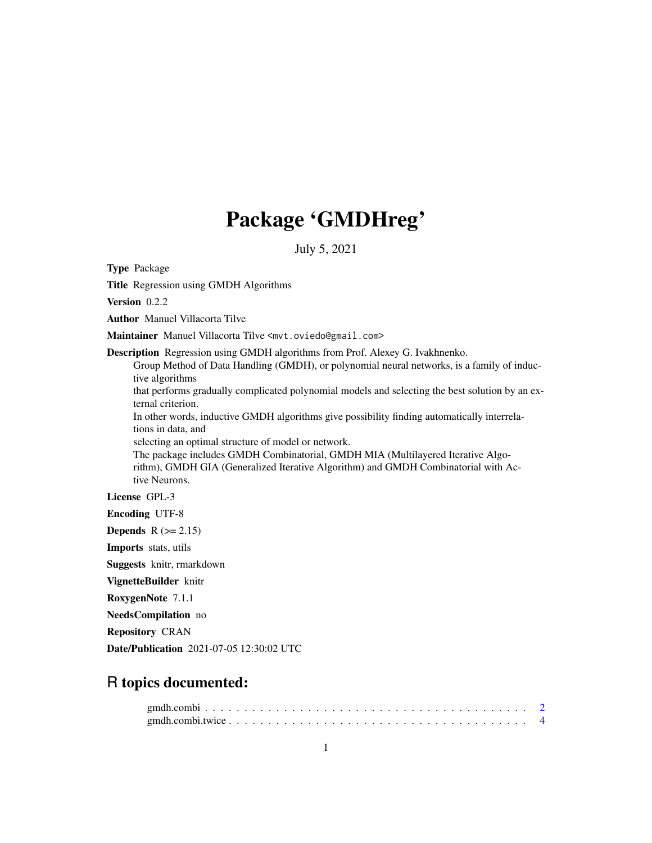## Package 'GMDHreg'

July 5, 2021

Type Package

Title Regression using GMDH Algorithms

Version 0.2.2

Author Manuel Villacorta Tilve

Maintainer Manuel Villacorta Tilve <mvt.oviedo@gmail.com>

Description Regression using GMDH algorithms from Prof. Alexey G. Ivakhnenko.

Group Method of Data Handling (GMDH), or polynomial neural networks, is a family of inductive algorithms

that performs gradually complicated polynomial models and selecting the best solution by an external criterion.

In other words, inductive GMDH algorithms give possibility finding automatically interrelations in data, and

selecting an optimal structure of model or network.

The package includes GMDH Combinatorial, GMDH MIA (Multilayered Iterative Algorithm), GMDH GIA (Generalized Iterative Algorithm) and GMDH Combinatorial with Active Neurons.

License GPL-3

Encoding UTF-8

Depends  $R$  ( $>= 2.15$ )

Imports stats, utils

Suggests knitr, rmarkdown

VignetteBuilder knitr

RoxygenNote 7.1.1

NeedsCompilation no

Repository CRAN

Date/Publication 2021-07-05 12:30:02 UTC

### R topics documented: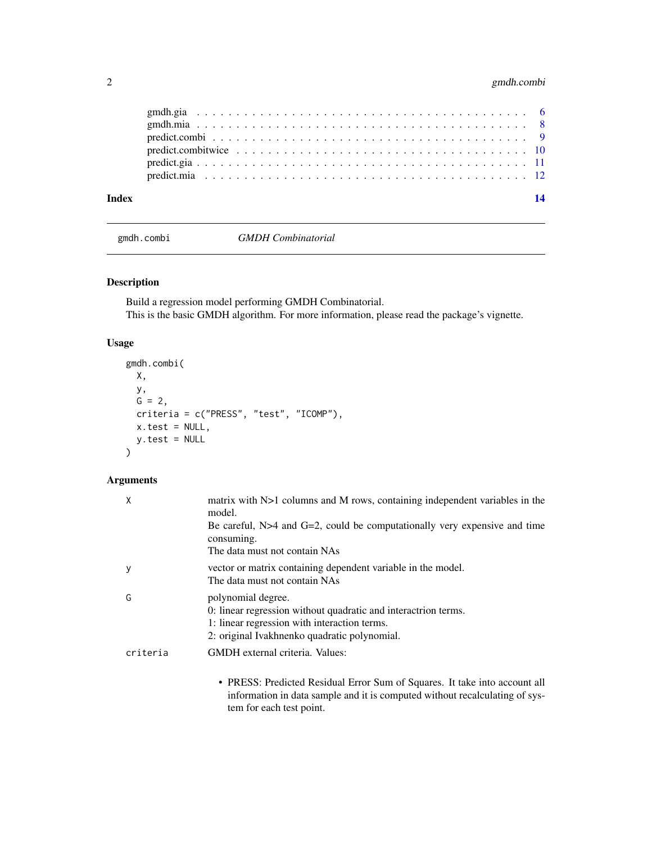#### <span id="page-1-0"></span>2 gmdh.combi

| Index |  |
|-------|--|
|       |  |
|       |  |
|       |  |
|       |  |
|       |  |

gmdh.combi *GMDH Combinatorial*

#### Description

Build a regression model performing GMDH Combinatorial. This is the basic GMDH algorithm. For more information, please read the package's vignette.

#### Usage

```
gmdh.combi(
 X,
 y,
 G = 2,criteria = c("PRESS", "test", "ICOMP"),
 x.test = NULL,
 y.test = NULL
)
```

| X        | matrix with N>1 columns and M rows, containing independent variables in the<br>model.                                                                                                 |
|----------|---------------------------------------------------------------------------------------------------------------------------------------------------------------------------------------|
|          | Be careful, $N>4$ and $G=2$ , could be computationally very expensive and time<br>consuming.                                                                                          |
|          | The data must not contain NAs                                                                                                                                                         |
| y        | vector or matrix containing dependent variable in the model.<br>The data must not contain NAs                                                                                         |
| G        | polynomial degree.<br>0: linear regression without quadratic and interactrion terms.<br>1: linear regression with interaction terms.<br>2: original Ivakhnenko quadratic polynomial.  |
| criteria | GMDH external criteria. Values:                                                                                                                                                       |
|          | • PRESS: Predicted Residual Error Sum of Squares. It take into account all<br>information in data sample and it is computed without recalculating of sys-<br>tem for each test point. |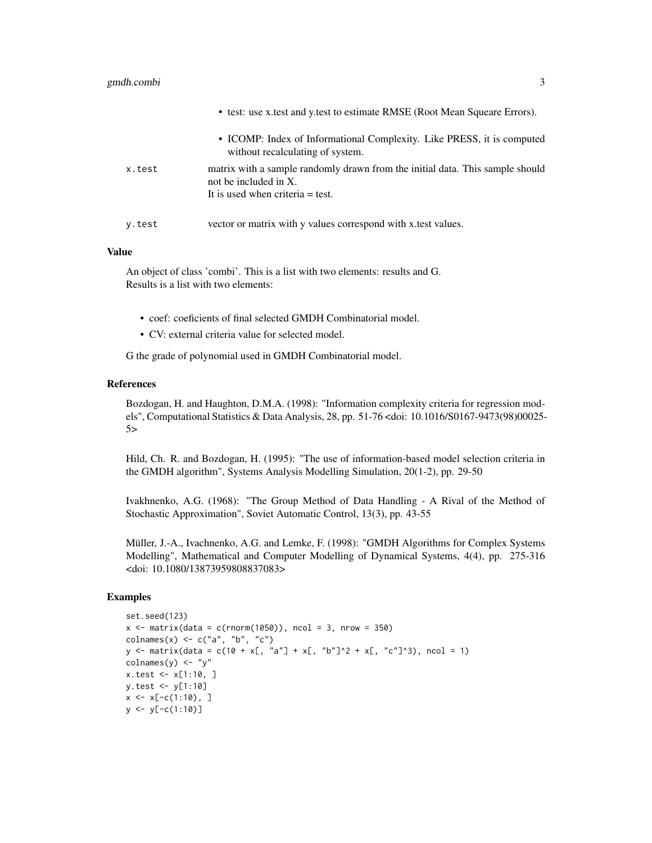|        | • test: use x.test and y.test to estimate RMSE (Root Mean Squeare Errors).                                                                   |
|--------|----------------------------------------------------------------------------------------------------------------------------------------------|
|        | • ICOMP: Index of Informational Complexity. Like PRESS, it is computed<br>without recalculating of system.                                   |
| x.test | matrix with a sample randomly drawn from the initial data. This sample should<br>not be included in X.<br>It is used when criteria $=$ test. |
| y.test | vector or matrix with y values correspond with x test values.                                                                                |

#### Value

An object of class 'combi'. This is a list with two elements: results and G. Results is a list with two elements:

- coef: coeficients of final selected GMDH Combinatorial model.
- CV: external criteria value for selected model.

G the grade of polynomial used in GMDH Combinatorial model.

#### References

Bozdogan, H. and Haughton, D.M.A. (1998): "Information complexity criteria for regression models", Computational Statistics & Data Analysis, 28, pp. 51-76 <doi: 10.1016/S0167-9473(98)00025- 5>

Hild, Ch. R. and Bozdogan, H. (1995): "The use of information-based model selection criteria in the GMDH algorithm", Systems Analysis Modelling Simulation, 20(1-2), pp. 29-50

Ivakhnenko, A.G. (1968): "The Group Method of Data Handling - A Rival of the Method of Stochastic Approximation", Soviet Automatic Control, 13(3), pp. 43-55

Müller, J.-A., Ivachnenko, A.G. and Lemke, F. (1998): "GMDH Algorithms for Complex Systems Modelling", Mathematical and Computer Modelling of Dynamical Systems, 4(4), pp. 275-316 <doi: 10.1080/13873959808837083>

```
set.seed(123)
x \le - matrix(data = c(rnorm(1050)), ncol = 3, nrow = 350)
colnames(x) \leq c("a", "b", "c")
y \le - matrix(data = c(10 + x[, "a"] + x[, "b"]^2 + x[, "c"]^3), ncol = 1)
colnames(y) <- "y"
x.test <- x[1:10, ]
y.test <- y[1:10]
x \leq x[-c(1:10), ]y \leftarrow y[-c(1:10)]
```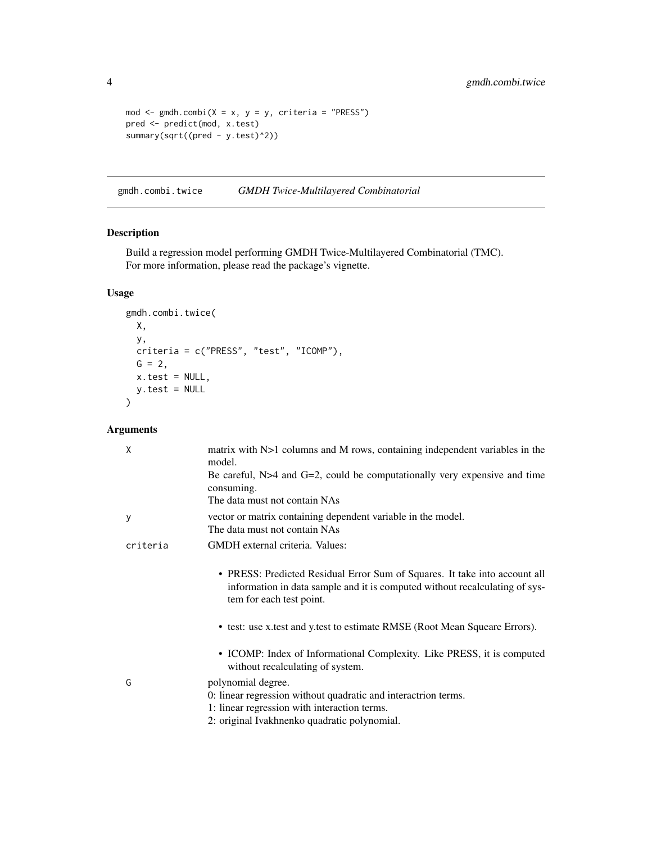```
mod \leq gmdh.combi(X = x, y = y, criteria = "PRESS")
pred <- predict(mod, x.test)
summary(sqrt((pred - y.test)^2))
```
gmdh.combi.twice *GMDH Twice-Multilayered Combinatorial*

#### Description

Build a regression model performing GMDH Twice-Multilayered Combinatorial (TMC). For more information, please read the package's vignette.

#### Usage

```
gmdh.combi.twice(
 X,
 y,
 criteria = c("PRESS", "test", "ICOMP"),
 G = 2,x.test = NULL,y.test = NULL
\mathcal{L}
```

| X        | matrix with N>1 columns and M rows, containing independent variables in the<br>model.                                                                                                 |
|----------|---------------------------------------------------------------------------------------------------------------------------------------------------------------------------------------|
|          | Be careful, $N>4$ and $G=2$ , could be computationally very expensive and time<br>consuming.                                                                                          |
|          | The data must not contain NAs                                                                                                                                                         |
| У        | vector or matrix containing dependent variable in the model.<br>The data must not contain NAs                                                                                         |
| criteria | GMDH external criteria. Values:                                                                                                                                                       |
|          | • PRESS: Predicted Residual Error Sum of Squares. It take into account all<br>information in data sample and it is computed without recalculating of sys-<br>tem for each test point. |
|          | • test: use x.test and y.test to estimate RMSE (Root Mean Squeare Errors).                                                                                                            |
|          | • ICOMP: Index of Informational Complexity. Like PRESS, it is computed<br>without recalculating of system.                                                                            |
| G        | polynomial degree.                                                                                                                                                                    |
|          | 0: linear regression without quadratic and interactrion terms.                                                                                                                        |
|          | 1: linear regression with interaction terms.                                                                                                                                          |
|          | 2: original Ivakhnenko quadratic polynomial.                                                                                                                                          |

<span id="page-3-0"></span>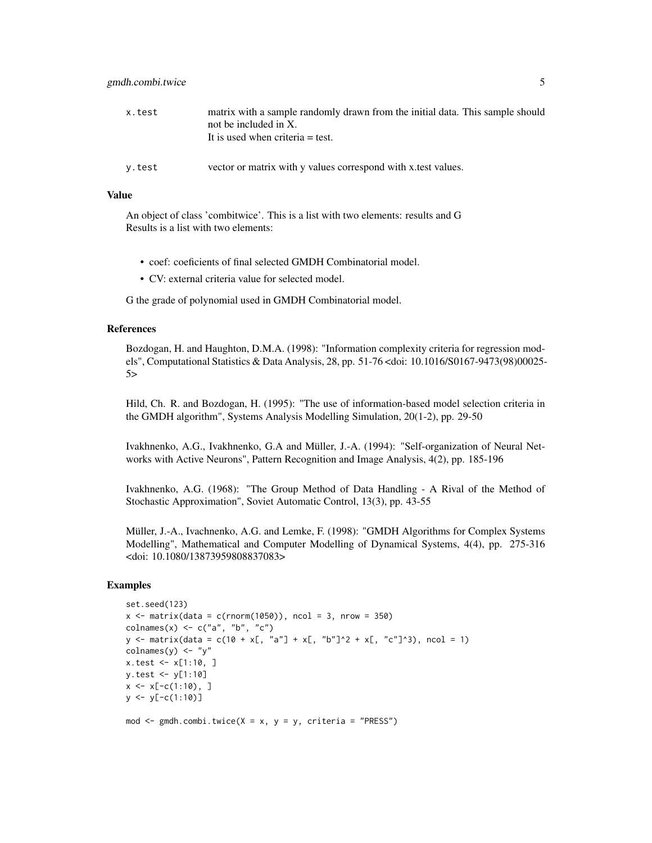| x.test | matrix with a sample randomly drawn from the initial data. This sample should |
|--------|-------------------------------------------------------------------------------|
|        | not be included in X.                                                         |
|        | It is used when criteria $=$ test.                                            |
| y.test | vector or matrix with y values correspond with x test values.                 |

#### Value

An object of class 'combitwice'. This is a list with two elements: results and G Results is a list with two elements:

- coef: coeficients of final selected GMDH Combinatorial model.
- CV: external criteria value for selected model.

G the grade of polynomial used in GMDH Combinatorial model.

#### References

Bozdogan, H. and Haughton, D.M.A. (1998): "Information complexity criteria for regression models", Computational Statistics & Data Analysis, 28, pp. 51-76 <doi: 10.1016/S0167-9473(98)00025- 5>

Hild, Ch. R. and Bozdogan, H. (1995): "The use of information-based model selection criteria in the GMDH algorithm", Systems Analysis Modelling Simulation, 20(1-2), pp. 29-50

Ivakhnenko, A.G., Ivakhnenko, G.A and Müller, J.-A. (1994): "Self-organization of Neural Networks with Active Neurons", Pattern Recognition and Image Analysis, 4(2), pp. 185-196

Ivakhnenko, A.G. (1968): "The Group Method of Data Handling - A Rival of the Method of Stochastic Approximation", Soviet Automatic Control, 13(3), pp. 43-55

Müller, J.-A., Ivachnenko, A.G. and Lemke, F. (1998): "GMDH Algorithms for Complex Systems Modelling", Mathematical and Computer Modelling of Dynamical Systems, 4(4), pp. 275-316 <doi: 10.1080/13873959808837083>

```
set.seed(123)
x \le - matrix(data = c(rnorm(1050)), ncol = 3, nrow = 350)
colnames(x) \leq c("a", "b", "c")
y \le - matrix(data = c(10 + x[, "a"] + x[, "b"]^2 + x[, "c"]^3), ncol = 1)
\text{colnames}(y) \leq - "y"
x.test <- x[1:10, ]
y.test <- y[1:10]
x \leq x[-c(1:10), ]y \leftarrow y[-c(1:10)]mod \leq gmdh.combi.twice(X = x, y = y, criteria = "PRESS")
```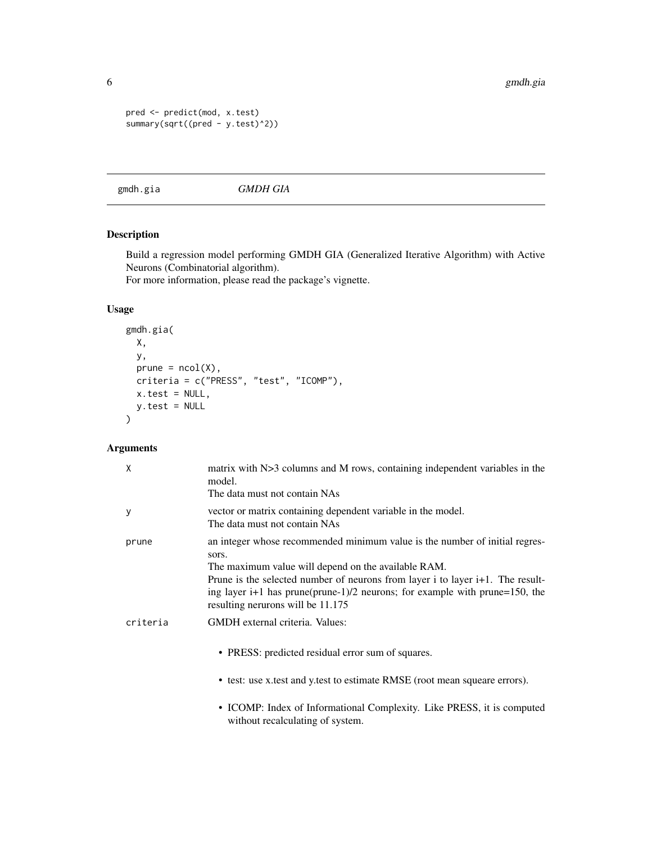```
pred <- predict(mod, x.test)
summary(sqrt((pred - y.test)^2))
```
#### gmdh.gia *GMDH GIA*

#### Description

Build a regression model performing GMDH GIA (Generalized Iterative Algorithm) with Active Neurons (Combinatorial algorithm).

For more information, please read the package's vignette.

#### Usage

```
gmdh.gia(
 X,
 y,
 prune = ncol(X),criteria = c("PRESS", "test", "ICOMP"),
 x.test = NULL,y.test = NULL
\mathcal{L}
```

| X        | matrix with N>3 columns and M rows, containing independent variables in the<br>model.<br>The data must not contain NAs                                                                                                                                                                                                                                   |
|----------|----------------------------------------------------------------------------------------------------------------------------------------------------------------------------------------------------------------------------------------------------------------------------------------------------------------------------------------------------------|
| y        | vector or matrix containing dependent variable in the model.<br>The data must not contain NAs                                                                                                                                                                                                                                                            |
| prune    | an integer whose recommended minimum value is the number of initial regres-<br>sors.<br>The maximum value will depend on the available RAM.<br>Prune is the selected number of neurons from layer i to layer $i+1$ . The result-<br>ing layer i+1 has prune(prune-1)/2 neurons; for example with prune= $150$ , the<br>resulting nerurons will be 11.175 |
| criteria | GMDH external criteria. Values:<br>• PRESS: predicted residual error sum of squares.<br>• test: use x.test and y.test to estimate RMSE (root mean squeare errors).<br>• ICOMP: Index of Informational Complexity. Like PRESS, it is computed<br>without recalculating of system.                                                                         |

<span id="page-5-0"></span>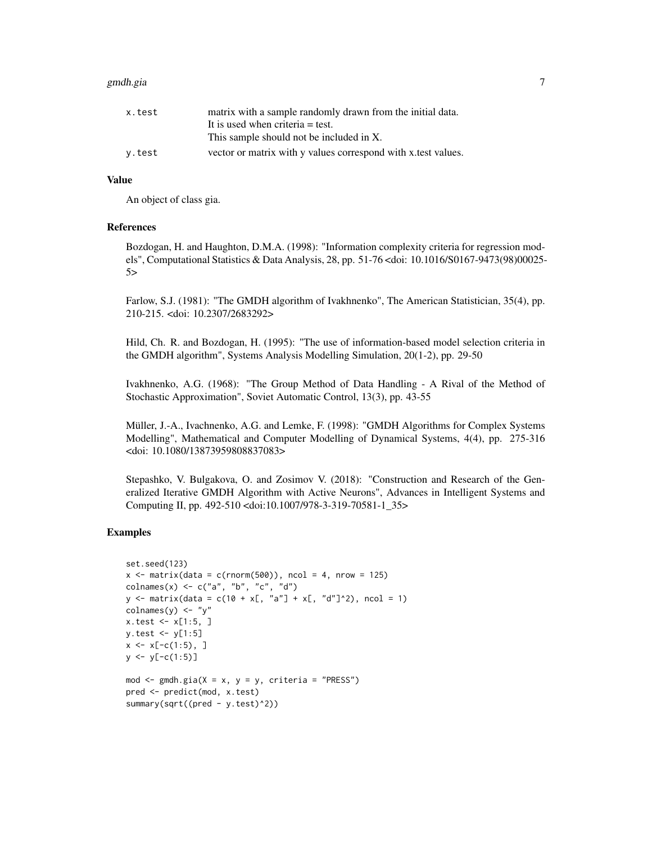#### gmdh.gia 7

| x.test | matrix with a sample randomly drawn from the initial data.    |
|--------|---------------------------------------------------------------|
|        | It is used when criteria $=$ test.                            |
|        | This sample should not be included in X.                      |
| v.test | vector or matrix with y values correspond with x test values. |

#### Value

An object of class gia.

#### References

Bozdogan, H. and Haughton, D.M.A. (1998): "Information complexity criteria for regression models", Computational Statistics & Data Analysis, 28, pp. 51-76 <doi: 10.1016/S0167-9473(98)00025- 5>

Farlow, S.J. (1981): "The GMDH algorithm of Ivakhnenko", The American Statistician, 35(4), pp. 210-215. <doi: 10.2307/2683292>

Hild, Ch. R. and Bozdogan, H. (1995): "The use of information-based model selection criteria in the GMDH algorithm", Systems Analysis Modelling Simulation, 20(1-2), pp. 29-50

Ivakhnenko, A.G. (1968): "The Group Method of Data Handling - A Rival of the Method of Stochastic Approximation", Soviet Automatic Control, 13(3), pp. 43-55

Müller, J.-A., Ivachnenko, A.G. and Lemke, F. (1998): "GMDH Algorithms for Complex Systems Modelling", Mathematical and Computer Modelling of Dynamical Systems, 4(4), pp. 275-316 <doi: 10.1080/13873959808837083>

Stepashko, V. Bulgakova, O. and Zosimov V. (2018): "Construction and Research of the Generalized Iterative GMDH Algorithm with Active Neurons", Advances in Intelligent Systems and Computing II, pp. 492-510 <doi:10.1007/978-3-319-70581-1\_35>

```
set.seed(123)
x \le matrix(data = c(rnorm(500)), ncol = 4, nrow = 125)
colnames(x) <- c("a", "b", "c", "d")
y \le - matrix(data = c(10 + x[, "a"] + x[, "d"]^2), ncol = 1)
colnames(y) \leftarrow "y"
x.test < - x[1:5, ]y.test <- y[1:5]
x \leq x[-c(1:5), ]y \leftarrow y[-c(1:5)]mod \le gmdh.gia(X = x, y = y, criteria = "PRESS")
pred <- predict(mod, x.test)
summary(sqrt((pred - y.test)^2))
```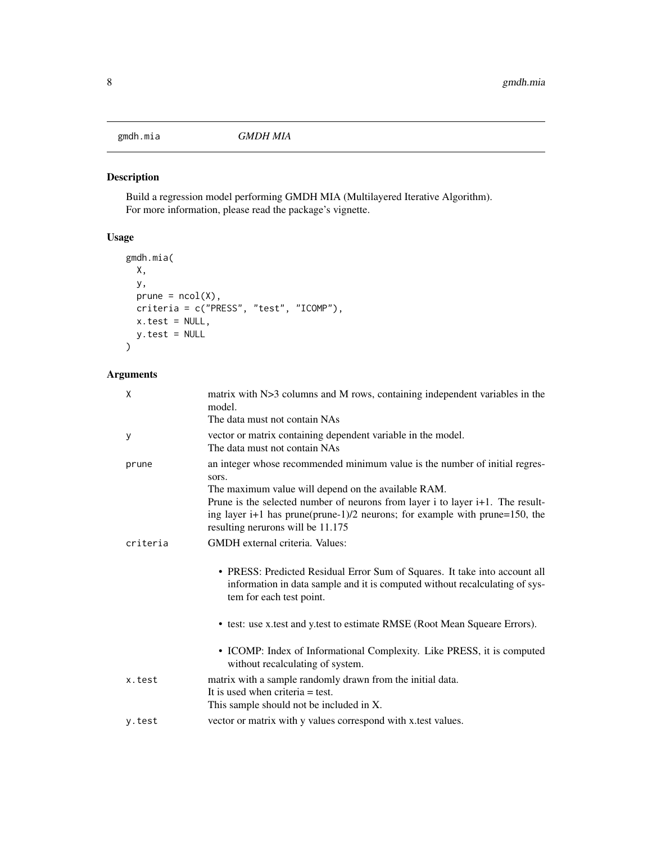#### <span id="page-7-0"></span>gmdh.mia *GMDH MIA*

#### Description

Build a regression model performing GMDH MIA (Multilayered Iterative Algorithm). For more information, please read the package's vignette.

#### Usage

```
gmdh.mia(
  X,
  y,
  prune = ncol(X),
 criteria = c("PRESS", "test", "ICOMP"),
  x.test = NULL,
  y.test = NULL
\mathcal{L}
```

| X        | matrix with N>3 columns and M rows, containing independent variables in the<br>model.<br>The data must not contain NAs                                                                                                                                                                                                                            |
|----------|---------------------------------------------------------------------------------------------------------------------------------------------------------------------------------------------------------------------------------------------------------------------------------------------------------------------------------------------------|
| У        | vector or matrix containing dependent variable in the model.<br>The data must not contain NAs                                                                                                                                                                                                                                                     |
| prune    | an integer whose recommended minimum value is the number of initial regres-<br>sors.<br>The maximum value will depend on the available RAM.<br>Prune is the selected number of neurons from layer i to layer i+1. The result-<br>ing layer i+1 has prune(prune-1)/2 neurons; for example with prune=150, the<br>resulting nerurons will be 11.175 |
| criteria | GMDH external criteria. Values:<br>• PRESS: Predicted Residual Error Sum of Squares. It take into account all<br>information in data sample and it is computed without recalculating of sys-<br>tem for each test point.<br>• test: use x.test and y.test to estimate RMSE (Root Mean Squeare Errors).                                            |
|          | • ICOMP: Index of Informational Complexity. Like PRESS, it is computed<br>without recalculating of system.                                                                                                                                                                                                                                        |
| x.test   | matrix with a sample randomly drawn from the initial data.<br>It is used when criteria $=$ test.<br>This sample should not be included in X.                                                                                                                                                                                                      |
| y.test   | vector or matrix with y values correspond with x.test values.                                                                                                                                                                                                                                                                                     |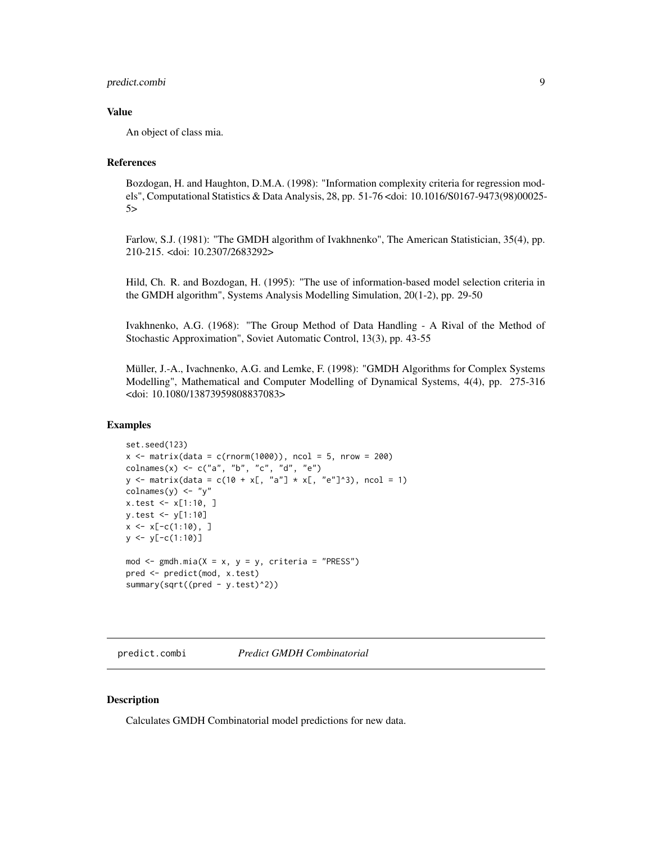#### <span id="page-8-0"></span>predict.combi 9

#### Value

An object of class mia.

#### References

Bozdogan, H. and Haughton, D.M.A. (1998): "Information complexity criteria for regression models", Computational Statistics & Data Analysis, 28, pp. 51-76 <doi: 10.1016/S0167-9473(98)00025- 5>

Farlow, S.J. (1981): "The GMDH algorithm of Ivakhnenko", The American Statistician, 35(4), pp. 210-215. <doi: 10.2307/2683292>

Hild, Ch. R. and Bozdogan, H. (1995): "The use of information-based model selection criteria in the GMDH algorithm", Systems Analysis Modelling Simulation, 20(1-2), pp. 29-50

Ivakhnenko, A.G. (1968): "The Group Method of Data Handling - A Rival of the Method of Stochastic Approximation", Soviet Automatic Control, 13(3), pp. 43-55

Müller, J.-A., Ivachnenko, A.G. and Lemke, F. (1998): "GMDH Algorithms for Complex Systems Modelling", Mathematical and Computer Modelling of Dynamical Systems, 4(4), pp. 275-316 <doi: 10.1080/13873959808837083>

#### Examples

```
set.seed(123)
x \le - matrix(data = c(rnorm(1000)), ncol = 5, nrow = 200)
colnames(x) <- c("a", "b", "c", "d", "e")
y \le - matrix(data = c(10 + x[, "a"] * x[, "e"]^3), ncol = 1)
colnames(y) \left\langle - \right\rangle"y"
x.test <- x[1:10, ]
y.test <- y[1:10]
x \leq x[-c(1:10), ]y \leftarrow y[-c(1:10)]mod \leq gmdh.mia(X = x, y = y, criteria = "PRESS")
pred <- predict(mod, x.test)
summary(sqrt((pred - y.test)^2))
```
predict.combi *Predict GMDH Combinatorial*

#### Description

Calculates GMDH Combinatorial model predictions for new data.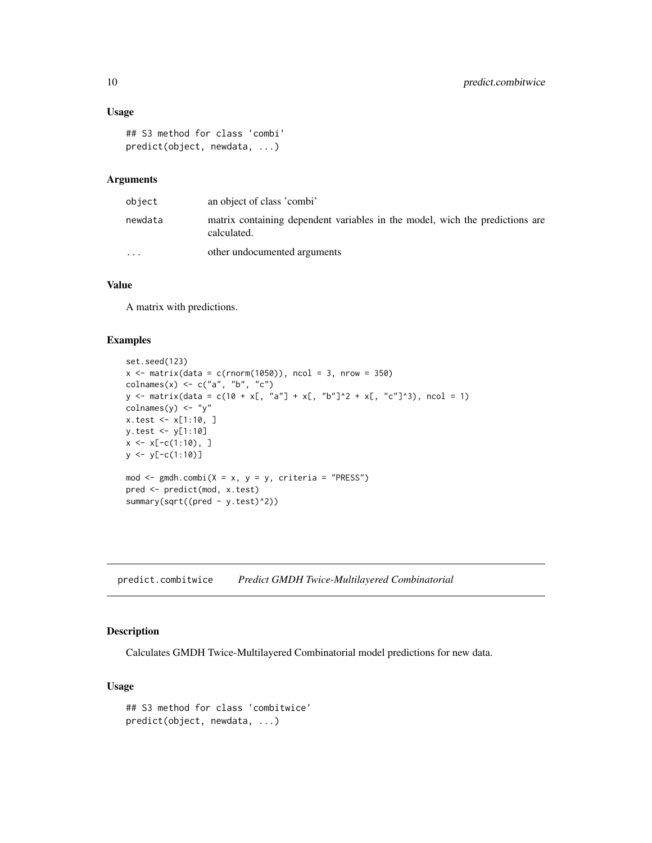#### Usage

```
## S3 method for class 'combi'
predict(object, newdata, ...)
```
#### Arguments

| object                  | an object of class 'combi'                                                                  |
|-------------------------|---------------------------------------------------------------------------------------------|
| newdata                 | matrix containing dependent variables in the model, wich the predictions are<br>calculated. |
| $\cdot$ $\cdot$ $\cdot$ | other undocumented arguments                                                                |

#### Value

A matrix with predictions.

#### Examples

```
set.seed(123)
x \le matrix(data = c(rnorm(1050)), ncol = 3, nrow = 350)
colnames(x) <- c("a", "b", "c")
y \le - matrix(data = c(10 + x[, "a"] + x[, "b"]^2 + x[, "c"]^3), ncol = 1)
colnames(y) <- "y"
x.test <- x[1:10, ]
y.test <- y[1:10]
x \leq x[-c(1:10), ]y \leftarrow y[-c(1:10)]mod <- gmdh.combi(X = x, y = y, criteria = "PRESS")
pred <- predict(mod, x.test)
summary(sqrt((pred - y.test)^2))
```
predict.combitwice *Predict GMDH Twice-Multilayered Combinatorial*

#### Description

Calculates GMDH Twice-Multilayered Combinatorial model predictions for new data.

#### Usage

```
## S3 method for class 'combitwice'
predict(object, newdata, ...)
```
<span id="page-9-0"></span>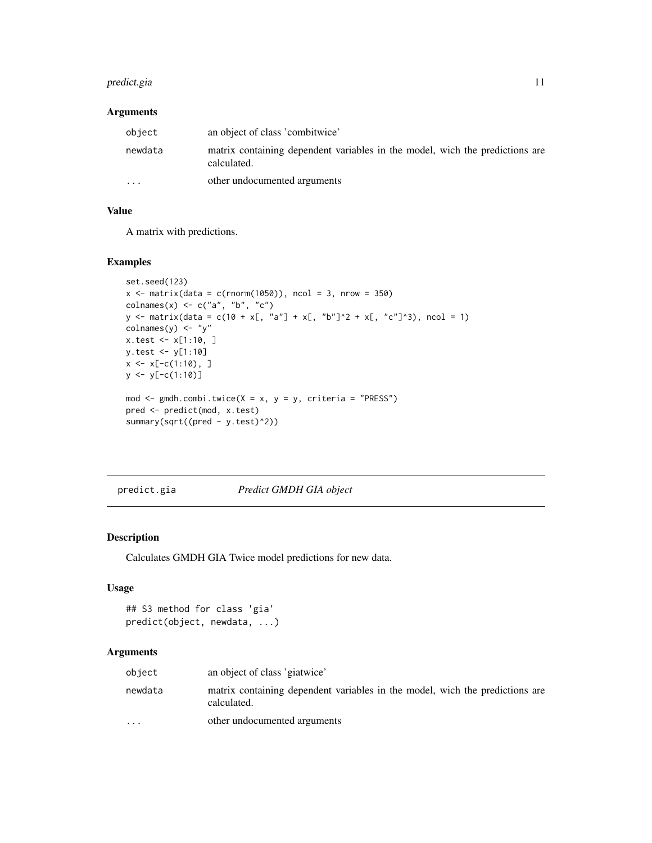#### <span id="page-10-0"></span>predict.gia and the set of the set of the set of the set of the set of the set of the set of the set of the set of the set of the set of the set of the set of the set of the set of the set of the set of the set of the set

#### Arguments

| object   | an object of class 'combitwice'                                                             |
|----------|---------------------------------------------------------------------------------------------|
| newdata  | matrix containing dependent variables in the model, wich the predictions are<br>calculated. |
| $\cdots$ | other undocumented arguments                                                                |

#### Value

A matrix with predictions.

#### Examples

```
set.seed(123)
x \le - matrix(data = c(rnorm(1050)), ncol = 3, nrow = 350)
colnames(x) \leq c("a", "b", "c")
y \le - matrix(data = c(10 + x[, "a"] + x[, "b"]^2 + x[, "c"]^3), ncol = 1)
\text{colnames}(y) \leftarrow "y"x.test <- x[1:10, ]
y.test <- y[1:10]
x \leq x[-c(1:10), ]y \leftarrow y[-c(1:10)]mod <- gmdh.combi.twice(X = x, y = y, criteria = "PRESS")
pred <- predict(mod, x.test)
summary(sqrt((pred - y.test)^2))
```
predict.gia *Predict GMDH GIA object*

#### Description

Calculates GMDH GIA Twice model predictions for new data.

#### Usage

```
## S3 method for class 'gia'
predict(object, newdata, ...)
```

| object                  | an object of class 'giatwice'                                                               |
|-------------------------|---------------------------------------------------------------------------------------------|
| newdata                 | matrix containing dependent variables in the model, wich the predictions are<br>calculated. |
| $\cdot$ $\cdot$ $\cdot$ | other undocumented arguments                                                                |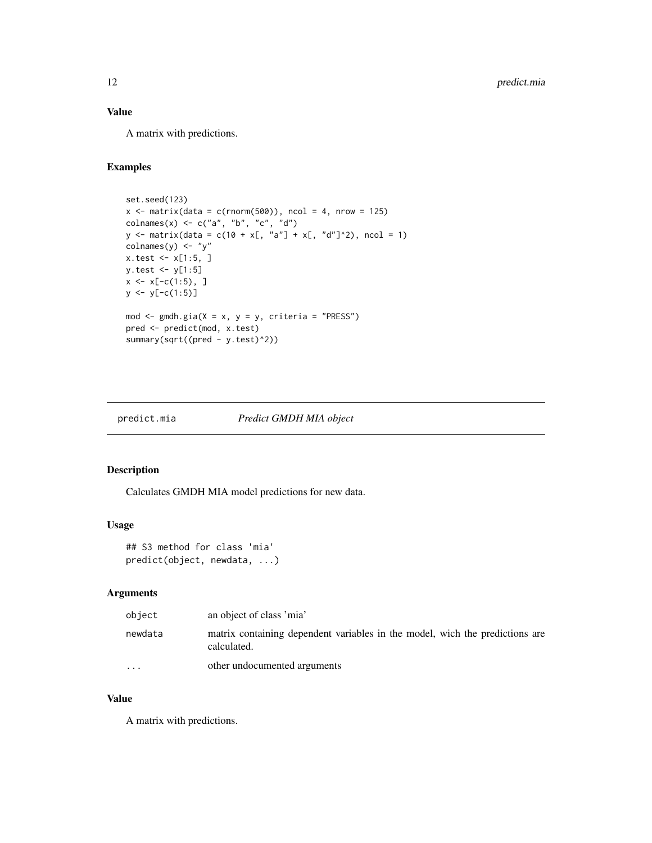#### Value

A matrix with predictions.

#### Examples

```
set.seed(123)
x \le - matrix(data = c(rnorm(500)), ncol = 4, nrow = 125)
colnames(x) \leq c("a", "b", "c", "d")
y \le - matrix(data = c(10 + x[, "a"] + x[, "d"]^2), ncol = 1)
\text{columns}(y) \leftarrow "y"x.test <- x[1:5, ]
y.test <- y[1:5]
x \leq x[-c(1:5), ]y \leftarrow y[-c(1:5)]mod \le gmdh.gia(X = x, y = y, criteria = "PRESS")
pred <- predict(mod, x.test)
summary(sqrt((pred - y.test)^2))
```
#### predict.mia *Predict GMDH MIA object*

#### Description

Calculates GMDH MIA model predictions for new data.

#### Usage

```
## S3 method for class 'mia'
predict(object, newdata, ...)
```
#### Arguments

| object  | an object of class 'mia'                                                                    |
|---------|---------------------------------------------------------------------------------------------|
| newdata | matrix containing dependent variables in the model, wich the predictions are<br>calculated. |
| $\cdot$ | other undocumented arguments                                                                |

#### Value

A matrix with predictions.

<span id="page-11-0"></span>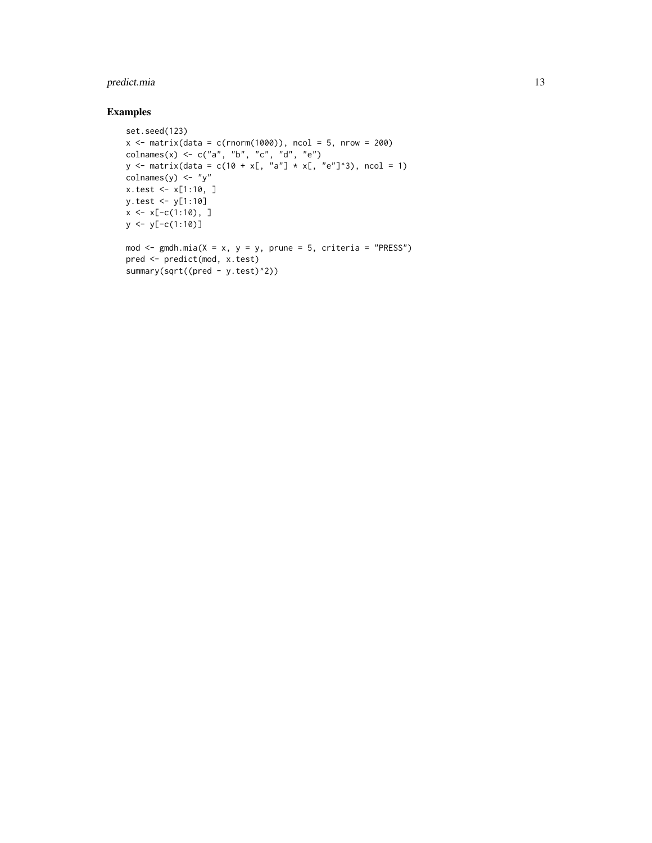#### predict.mia 13

```
set.seed(123)
x \le matrix(data = c(rnorm(1000)), ncol = 5, nrow = 200)
colnames(x) <- c("a", "b", "c", "d", "e")
y \le - matrix(data = c(10 + x[, "a"] * x[, "e"]^3), ncol = 1)
colnames(y) <- "y"
x.test <- x[1:10, ]
y.test <- y[1:10]
x \leq x[-c(1:10), ]y \leftarrow y[-c(1:10)]mod \leq gmdh.mia(X = x, y = y, prune = 5, criteria = "PRESS")
pred <- predict(mod, x.test)
summary(sqrt((pred - y.test)^2))
```